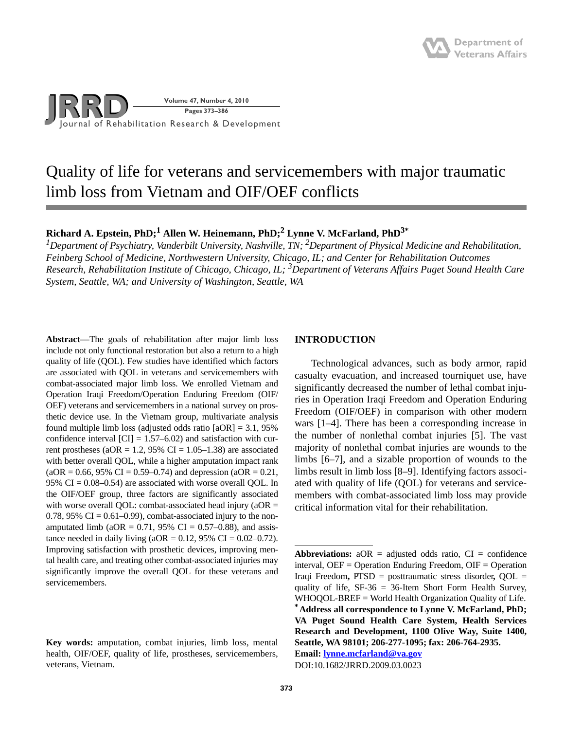

# Quality of life for veterans and servicemembers with major traumatic limb loss from Vietnam and OIF/OEF conflicts

## $\bold{Richard\ A.}$  Epstein,  $\bold{PhD;^1}$  Allen W. Heinemann,  $\bold{PhD;^2}$  Lynne V. McFarland,  $\bold{PhD^3}^*$

<sup>1</sup>Department of Psychiatry, Vanderbilt University, Nashville, TN; <sup>2</sup>Department of Physical Medicine and Rehabilitation, *Feinberg School of Medicine, Northwestern University, Chicago, IL; and Center for Rehabilitation Outcomes Research, Rehabilitation Institute of Chicago, Chicago, IL; 3Department of Veterans Affairs Puget Sound Health Care System, Seattle, WA; and University of Washington, Seattle, WA*

**Abstract—**The goals of rehabilitation after major limb loss include not only functional restoration but also a return to a high quality of life (QOL). Few studies have identified which factors are associated with QOL in veterans and servicemembers with combat-associated major limb loss. We enrolled Vietnam and Operation Iraqi Freedom/Operation Enduring Freedom (OIF/ OEF) veterans and servicemembers in a national survey on prosthetic device use. In the Vietnam group, multivariate analysis found multiple limb loss (adjusted odds ratio  $[aOR] = 3.1, 95\%$ confidence interval  $\text{[CI]} = 1.57{\text{--}}6.02$  and satisfaction with current prostheses (aOR = 1.2, 95% CI =  $1.05-1.38$ ) are associated with better overall QOL, while a higher amputation impact rank  $(aOR = 0.66, 95\% \text{ CI} = 0.59 - 0.74)$  and depression  $(aOR = 0.21,$ 95%  $CI = 0.08 - 0.54$  are associated with worse overall QOL. In the OIF/OEF group, three factors are significantly associated with worse overall QOL: combat-associated head injury ( $aOR =$ 0.78, 95% CI =  $0.61-0.99$ ), combat-associated injury to the nonamputated limb ( $aOR = 0.71$ , 95% CI = 0.57–0.88), and assistance needed in daily living ( $aOR = 0.12$ , 95% CI = 0.02–0.72). Improving satisfaction with prosthetic devices, improving mental health care, and treating other combat-associated injuries may significantly improve the overall QOL for these veterans and servicemembers.

## **INTRODUCTION**

Technological advances, such as body armor, rapid casualty evacuation, and increased tourniquet use, have significantly decreased the number of lethal combat injuries in Operation Iraqi Freedom and Operation Enduring Freedom (OIF/OEF) in comparison with other modern wars [1–4]. There has been a corresponding increase in the number of nonlethal combat injuries [5]. The vast majority of nonlethal combat injuries are wounds to the limbs [6–7], and a sizable proportion of wounds to the limbs result in limb loss [8–9]. Identifying factors associated with quality of life (QOL) for veterans and servicemembers with combat-associated limb loss may provide critical information vital for their rehabilitation.

**Email: [lynne.mcfarland@va.gov](mailto:lynne.mcfarland@va.gov)** DOI:10.1682/JRRD.2009.03.0023

**Key words:** amputation, combat injuries, limb loss, mental health, OIF/OEF, quality of life, prostheses, servicemembers, veterans, Vietnam.

**Abbreviations:**  $aOR =$  adjusted odds ratio,  $CI =$  confidence interval, OEF = Operation Enduring Freedom, OIF = Operation Iraqi Freedom**,** PTSD = posttraumatic stress disorder**,** QOL = quality of life, SF-36 = 36-Item Short Form Health Survey, WHOQOL-BREF = World Health Organization Quality of Life. **\*Address all correspondence to Lynne V. McFarland, PhD; VA Puget Sound Health Care System, Health Services Research and Development, 1100 Olive Way, Suite 1400, Seattle, WA 98101; 206-277-1095; fax: 206-764-2935.**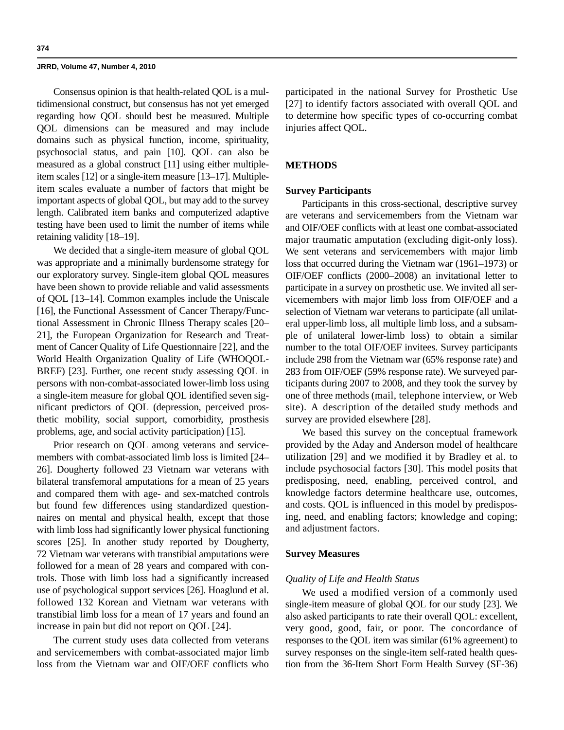Consensus opinion is that health-related QOL is a multidimensional construct, but consensus has not yet emerged regarding how QOL should best be measured. Multiple QOL dimensions can be measured and may include domains such as physical function, income, spirituality, psychosocial status, and pain [10]. QOL can also be measured as a global construct [11] using either multipleitem scales [12] or a single-item measure [13–17]. Multipleitem scales evaluate a number of factors that might be important aspects of global QOL, but may add to the survey length. Calibrated item banks and computerized adaptive testing have been used to limit the number of items while retaining validity [18–19].

We decided that a single-item measure of global QOL was appropriate and a minimally burdensome strategy for our exploratory survey. Single-item global QOL measures have been shown to provide reliable and valid assessments of QOL [13–14]. Common examples include the Uniscale [16], the Functional Assessment of Cancer Therapy/Functional Assessment in Chronic Illness Therapy scales [20– 21], the European Organization for Research and Treatment of Cancer Quality of Life Questionnaire [22], and the World Health Organization Quality of Life (WHOQOL-BREF) [23]. Further, one recent study assessing QOL in persons with non-combat-associated lower-limb loss using a single-item measure for global QOL identified seven significant predictors of QOL (depression, perceived prosthetic mobility, social support, comorbidity, prosthesis problems, age, and social activity participation) [15].

Prior research on QOL among veterans and servicemembers with combat-associated limb loss is limited [24– 26]. Dougherty followed 23 Vietnam war veterans with bilateral transfemoral amputations for a mean of 25 years and compared them with age- and sex-matched controls but found few differences using standardized questionnaires on mental and physical health, except that those with limb loss had significantly lower physical functioning scores [25]. In another study reported by Dougherty, 72 Vietnam war veterans with transtibial amputations were followed for a mean of 28 years and compared with controls. Those with limb loss had a significantly increased use of psychological support services [26]. Hoaglund et al. followed 132 Korean and Vietnam war veterans with transtibial limb loss for a mean of 17 years and found an increase in pain but did not report on QOL [24].

The current study uses data collected from veterans and servicemembers with combat-associated major limb loss from the Vietnam war and OIF/OEF conflicts who

participated in the national Survey for Prosthetic Use [27] to identify factors associated with overall QOL and to determine how specific types of co-occurring combat injuries affect QOL.

## **METHODS**

## **Survey Participants**

Participants in this cross-sectional, descriptive survey are veterans and servicemembers from the Vietnam war and OIF/OEF conflicts with at least one combat-associated major traumatic amputation (excluding digit-only loss). We sent veterans and servicemembers with major limb loss that occurred during the Vietnam war (1961–1973) or OIF/OEF conflicts (2000–2008) an invitational letter to participate in a survey on prosthetic use. We invited all servicemembers with major limb loss from OIF/OEF and a selection of Vietnam war veterans to participate (all unilateral upper-limb loss, all multiple limb loss, and a subsample of unilateral lower-limb loss) to obtain a similar number to the total OIF/OEF invitees. Survey participants include 298 from the Vietnam war (65% response rate) and 283 from OIF/OEF (59% response rate). We surveyed participants during 2007 to 2008, and they took the survey by one of three methods (mail, telephone interview, or Web site). A description of the detailed study methods and survey are provided elsewhere [28].

We based this survey on the conceptual framework provided by the Aday and Anderson model of healthcare utilization [29] and we modified it by Bradley et al. to include psychosocial factors [30]. This model posits that predisposing, need, enabling, perceived control, and knowledge factors determine healthcare use, outcomes, and costs. QOL is influenced in this model by predisposing, need, and enabling factors; knowledge and coping; and adjustment factors.

### **Survey Measures**

### *Quality of Life and Health Status*

We used a modified version of a commonly used single-item measure of global QOL for our study [23]. We also asked participants to rate their overall QOL: excellent, very good, good, fair, or poor. The concordance of responses to the QOL item was similar (61% agreement) to survey responses on the single-item self-rated health question from the 36-Item Short Form Health Survey (SF-36)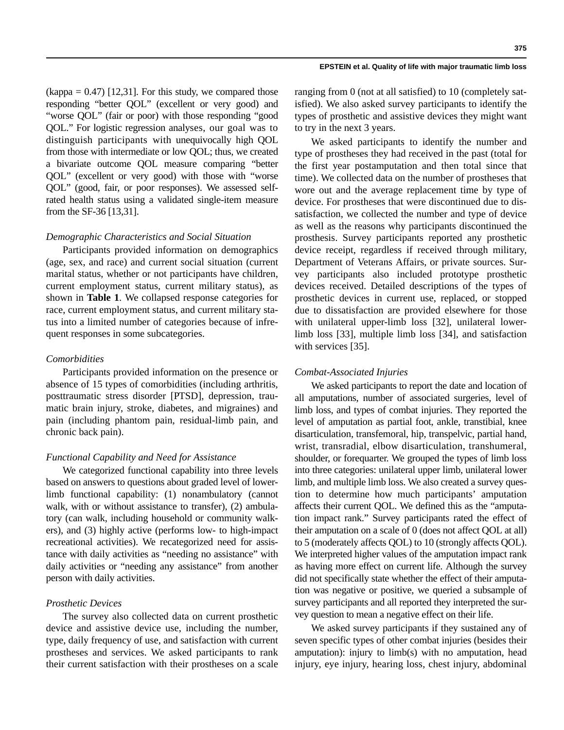$(kappa = 0.47)$  [12,31]. For this study, we compared those responding "better QOL" (excellent or very good) and "worse QOL" (fair or poor) with those responding "good QOL." For logistic regression analyses, our goal was to distinguish participants with unequivocally high QOL from those with intermediate or low QOL; thus, we created a bivariate outcome QOL measure comparing "better QOL" (excellent or very good) with those with "worse QOL" (good, fair, or poor responses). We assessed selfrated health status using a validated single-item measure from the SF-36 [13,31].

### *Demographic Characteristics and Social Situation*

Participants provided information on demographics (age, sex, and race) and current social situation (current marital status, whether or not participants have children, current employment status, current military status), as shown in **Table 1**. We collapsed response categories for race, current employment status, and current military status into a limited number of categories because of infrequent responses in some subcategories.

## *Comorbidities*

Participants provided information on the presence or absence of 15 types of comorbidities (including arthritis, posttraumatic stress disorder [PTSD], depression, traumatic brain injury, stroke, diabetes, and migraines) and pain (including phantom pain, residual-limb pain, and chronic back pain).

#### *Functional Capability and Need for Assistance*

We categorized functional capability into three levels based on answers to questions about graded level of lowerlimb functional capability: (1) nonambulatory (cannot walk, with or without assistance to transfer), (2) ambulatory (can walk, including household or community walkers), and (3) highly active (performs low- to high-impact recreational activities). We recategorized need for assistance with daily activities as "needing no assistance" with daily activities or "needing any assistance" from another person with daily activities.

## *Prosthetic Devices*

The survey also collected data on current prosthetic device and assistive device use, including the number, type, daily frequency of use, and satisfaction with current prostheses and services. We asked participants to rank their current satisfaction with their prostheses on a scale

ranging from 0 (not at all satisfied) to 10 (completely satisfied). We also asked survey participants to identify the types of prosthetic and assistive devices they might want to try in the next 3 years.

We asked participants to identify the number and type of prostheses they had received in the past (total for the first year postamputation and then total since that time). We collected data on the number of prostheses that wore out and the average replacement time by type of device. For prostheses that were discontinued due to dissatisfaction, we collected the number and type of device as well as the reasons why participants discontinued the prosthesis. Survey participants reported any prosthetic device receipt, regardless if received through military, Department of Veterans Affairs, or private sources. Survey participants also included prototype prosthetic devices received. Detailed descriptions of the types of prosthetic devices in current use, replaced, or stopped due to dissatisfaction are provided elsewhere for those with unilateral upper-limb loss [32], unilateral lowerlimb loss [33], multiple limb loss [34], and satisfaction with services [35].

#### *Combat-Associated Injuries*

We asked participants to report the date and location of all amputations, number of associated surgeries, level of limb loss, and types of combat injuries. They reported the level of amputation as partial foot, ankle, transtibial, knee disarticulation, transfemoral, hip, transpelvic, partial hand, wrist, transradial, elbow disarticulation, transhumeral, shoulder, or forequarter. We grouped the types of limb loss into three categories: unilateral upper limb, unilateral lower limb, and multiple limb loss. We also created a survey question to determine how much participants' amputation affects their current QOL. We defined this as the "amputation impact rank." Survey participants rated the effect of their amputation on a scale of 0 (does not affect QOL at all) to 5 (moderately affects QOL) to 10 (strongly affects QOL). We interpreted higher values of the amputation impact rank as having more effect on current life. Although the survey did not specifically state whether the effect of their amputation was negative or positive, we queried a subsample of survey participants and all reported they interpreted the survey question to mean a negative effect on their life.

We asked survey participants if they sustained any of seven specific types of other combat injuries (besides their amputation): injury to limb(s) with no amputation, head injury, eye injury, hearing loss, chest injury, abdominal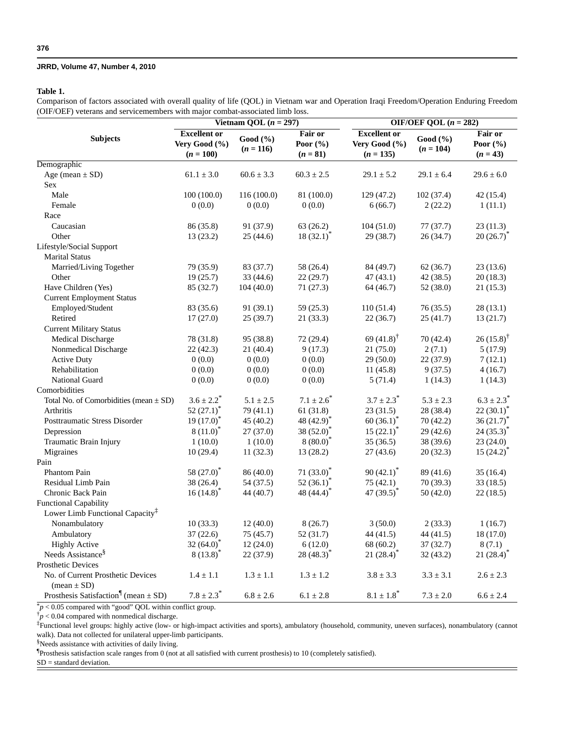## **Table 1.**

Comparison of factors associated with overall quality of life (QOL) in Vietnam war and Operation Iraqi Freedom/Operation Enduring Freedom (OIF/OEF) veterans and servicemembers with major combat-associated limb loss.

|                                                                       |                                                     | Vietnam QOL $(n = 297)$ |                                       | OIF/OEF QOL $(n = 282)$                             |                         |                                       |  |
|-----------------------------------------------------------------------|-----------------------------------------------------|-------------------------|---------------------------------------|-----------------------------------------------------|-------------------------|---------------------------------------|--|
| <b>Subjects</b>                                                       | <b>Excellent</b> or<br>Very Good (%)<br>$(n = 100)$ | Good (%)<br>$(n = 116)$ | Fair or<br>Poor $(\% )$<br>$(n = 81)$ | <b>Excellent or</b><br>Very Good (%)<br>$(n = 135)$ | Good (%)<br>$(n = 104)$ | Fair or<br>Poor $(\% )$<br>$(n = 43)$ |  |
| Demographic                                                           |                                                     |                         |                                       |                                                     |                         |                                       |  |
| Age (mean $\pm$ SD)                                                   | $61.1 \pm 3.0$                                      | $60.6 \pm 3.3$          | $60.3 \pm 2.5$                        | $29.1 \pm 5.2$                                      | $29.1 \pm 6.4$          | $29.6 \pm 6.0$                        |  |
| Sex                                                                   |                                                     |                         |                                       |                                                     |                         |                                       |  |
| Male                                                                  | 100(100.0)                                          | 116(100.0)              | 81 (100.0)                            | 129 (47.2)                                          | 102(37.4)               | 42(15.4)                              |  |
| Female                                                                | 0(0.0)                                              | 0(0.0)                  | 0(0.0)                                | 6(66.7)                                             | 2(22.2)                 | 1(11.1)                               |  |
| Race                                                                  |                                                     |                         |                                       |                                                     |                         |                                       |  |
| Caucasian                                                             | 86 (35.8)                                           | 91 (37.9)               | 63(26.2)                              | 104(51.0)                                           | 77(37.7)                | 23(11.3)                              |  |
| Other                                                                 | 13(23.2)                                            | 25(44.6)                | $18(32.1)^*$                          | 29(38.7)                                            | 26(34.7)                | $20(26.7)^*$                          |  |
| Lifestyle/Social Support                                              |                                                     |                         |                                       |                                                     |                         |                                       |  |
| <b>Marital Status</b>                                                 |                                                     |                         |                                       |                                                     |                         |                                       |  |
| Married/Living Together                                               | 79 (35.9)                                           | 83 (37.7)               | 58 (26.4)                             | 84 (49.7)                                           | 62(36.7)                | 23(13.6)                              |  |
| Other                                                                 | 19(25.7)                                            | 33(44.6)                | 22(29.7)                              | 47(43.1)                                            | 42(38.5)                | 20(18.3)                              |  |
| Have Children (Yes)                                                   | 85 (32.7)                                           | 104(40.0)               | 71(27.3)                              | 64 (46.7)                                           | 52 (38.0)               | 21(15.3)                              |  |
| <b>Current Employment Status</b>                                      |                                                     |                         |                                       |                                                     |                         |                                       |  |
| Employed/Student                                                      | 83 (35.6)                                           | 91(39.1)                | 59(25.3)                              | 110(51.4)                                           | 76(35.5)                | 28(13.1)                              |  |
| Retired                                                               | 17(27.0)                                            | 25(39.7)                | 21(33.3)                              | 22(36.7)                                            | 25(41.7)                | 13(21.7)                              |  |
| <b>Current Military Status</b>                                        |                                                     |                         |                                       |                                                     |                         |                                       |  |
| Medical Discharge                                                     | 78 (31.8)                                           | 95 (38.8)               | 72(29.4)                              | 69 $(41.8)$ <sup>†</sup>                            | 70 (42.4)               | $26(15.8)^{\dagger}$                  |  |
| Nonmedical Discharge                                                  | 22 (42.3)                                           | 21(40.4)                | 9(17.3)                               | 21(75.0)                                            | 2(7.1)                  | 5(17.9)                               |  |
| <b>Active Duty</b>                                                    | 0(0.0)                                              | 0(0.0)                  | 0(0.0)                                | 29(50.0)                                            | 22(37.9)                | 7(12.1)                               |  |
| Rehabilitation                                                        | 0(0.0)                                              | 0(0.0)                  | 0(0.0)                                | 11(45.8)                                            | 9(37.5)                 | 4(16.7)                               |  |
| <b>National Guard</b>                                                 | 0(0.0)                                              | 0(0.0)                  | 0(0.0)                                | 5(71.4)                                             | 1(14.3)                 | 1(14.3)                               |  |
| Comorbidities                                                         |                                                     |                         |                                       |                                                     |                         |                                       |  |
| Total No. of Comorbidities (mean $\pm$ SD)                            | $3.6 \pm 2.2^*$                                     | $5.1 \pm 2.5$           | $7.1 \pm 2.6^*$                       | $3.7 \pm 2.3^*$                                     | $5.3\pm2.3$             | $6.3 \pm 2.3^*$                       |  |
| <b>Arthritis</b>                                                      | $52(27.1)^{*}$                                      | 79 (41.1)               | 61(31.8)                              | 23(31.5)                                            | 28 (38.4)               | $22(30.1)^{*}$                        |  |
| Posttraumatic Stress Disorder                                         | $19(17.0)^*$                                        | 45 (40.2)               | 48 $(42.9)^*$                         | $60(36.1)^*$                                        | 70(42.2)                | $36(21.7)^*$                          |  |
| Depression                                                            | $8(11.0)^*$                                         | 27(37.0)                | 38 (52.0)*                            | $15(22.1)^*$                                        | 29(42.6)                | $24(35.3)^{*}$                        |  |
| Traumatic Brain Injury                                                | 1(10.0)                                             | 1(10.0)                 | $8(80.0)^*$                           | 35(36.5)                                            | 38 (39.6)               | 23(24.0)                              |  |
| Migraines                                                             | 10(29.4)                                            | 11(32.3)                | 13(28.2)                              | 27(43.6)                                            | 20(32.3)                | $15(24.2)^*$                          |  |
| Pain                                                                  |                                                     |                         |                                       |                                                     |                         |                                       |  |
| Phantom Pain                                                          | 58 $(27.0)^*$                                       | 86 (40.0)               | $71(33.0)^*$                          | $90(42.1)^{*}$                                      | 89 (41.6)               | 35(16.4)                              |  |
| Residual Limb Pain                                                    | 38 (26.4)                                           | 54 (37.5)               | 52 $(36.1)^*$                         | 75(42.1)                                            | 70(39.3)                | 33(18.5)                              |  |
| Chronic Back Pain                                                     | $16(14.8)^*$                                        | 44 (40.7)               | 48 $(44.4)^*$                         | 47 $(39.5)^*$                                       | 50(42.0)                | 22(18.5)                              |  |
| <b>Functional Capability</b>                                          |                                                     |                         |                                       |                                                     |                         |                                       |  |
| Lower Limb Functional Capacity <sup>‡</sup>                           |                                                     |                         |                                       |                                                     |                         |                                       |  |
| Nonambulatory                                                         | 10(33.3)                                            | 12(40.0)                | 8(26.7)                               | 3(50.0)                                             | 2(33.3)                 | 1(16.7)                               |  |
| Ambulatory                                                            | 37 (22.6)                                           | 75 (45.7)               | 52 (31.7)                             | 44 (41.5)                                           | 44 (41.5)               | 18 (17.0)                             |  |
| <b>Highly Active</b>                                                  | 32 $(64.0)^*$                                       | 12(24.0)                | 6(12.0)                               | 68 (60.2)                                           | 37(32.7)                | 8(7.1)                                |  |
| Needs Assistance <sup>§</sup>                                         | $8(13.8)^*$                                         | 22(37.9)                | 28 (48.3) <sup>*</sup>                | $21(28.4)^*$                                        | 32(43.2)                | $21(28.4)^*$                          |  |
| <b>Prosthetic Devices</b>                                             |                                                     |                         |                                       |                                                     |                         |                                       |  |
| No. of Current Prosthetic Devices                                     | $1.4 \pm 1.1$                                       | $1.3\pm1.1$             | $1.3 \pm 1.2$                         | $3.8 \pm 3.3$                                       | $3.3 \pm 3.1$           | $2.6 \pm 2.3$                         |  |
| $mean \pm SD$<br>Prosthesis Satisfaction <sup>1</sup> (mean $\pm$ SD) | $7.8 \pm 2.3^*$                                     | $6.8\pm2.6$             | $6.1\pm2.8$                           | $8.1\pm1.8^{*}$                                     | $7.3\pm2.0$             | $6.6 \pm 2.4$                         |  |

\**p* < 0.05 compared with "good" QOL within conflict group.

 $\dot{p}$  < 0.04 compared with nonmedical discharge.

‡Functional level groups: highly active (low- or high-impact activities and sports), ambulatory (household, community, uneven surfaces), nonambulatory (cannot walk). Data not collected for unilateral upper-limb participants.

§Needs assistance with activities of daily living.

Prosthesis satisfaction scale ranges from 0 (not at all satisfied with current prosthesis) to 10 (completely satisfied).

SD = standard deviation.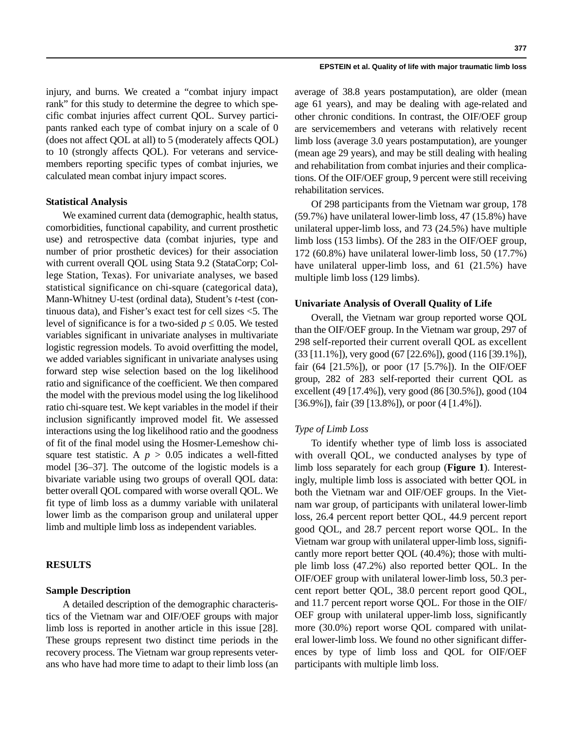injury, and burns. We created a "combat injury impact rank" for this study to determine the degree to which specific combat injuries affect current QOL. Survey participants ranked each type of combat injury on a scale of 0 (does not affect QOL at all) to 5 (moderately affects QOL) to 10 (strongly affects QOL). For veterans and servicemembers reporting specific types of combat injuries, we calculated mean combat injury impact scores.

### **Statistical Analysis**

We examined current data (demographic, health status, comorbidities, functional capability, and current prosthetic use) and retrospective data (combat injuries, type and number of prior prosthetic devices) for their association with current overall QOL using Stata 9.2 (StataCorp; College Station, Texas). For univariate analyses, we based statistical significance on chi-square (categorical data), Mann-Whitney U-test (ordinal data), Student's *t*-test (continuous data), and Fisher's exact test for cell sizes <5. The level of significance is for a two-sided  $p \leq 0.05$ . We tested variables significant in univariate analyses in multivariate logistic regression models. To avoid overfitting the model, we added variables significant in univariate analyses using forward step wise selection based on the log likelihood ratio and significance of the coefficient. We then compared the model with the previous model using the log likelihood ratio chi-square test. We kept variables in the model if their inclusion significantly improved model fit. We assessed interactions using the log likelihood ratio and the goodness of fit of the final model using the Hosmer-Lemeshow chisquare test statistic. A  $p > 0.05$  indicates a well-fitted model [36–37]. The outcome of the logistic models is a bivariate variable using two groups of overall QOL data: better overall QOL compared with worse overall QOL. We fit type of limb loss as a dummy variable with unilateral lower limb as the comparison group and unilateral upper limb and multiple limb loss as independent variables.

## **RESULTS**

## **Sample Description**

A detailed description of the demographic characteristics of the Vietnam war and OIF/OEF groups with major limb loss is reported in another article in this issue [28]. These groups represent two distinct time periods in the recovery process. The Vietnam war group represents veterans who have had more time to adapt to their limb loss (an

average of 38.8 years postamputation), are older (mean age 61 years), and may be dealing with age-related and other chronic conditions. In contrast, the OIF/OEF group are servicemembers and veterans with relatively recent limb loss (average 3.0 years postamputation), are younger (mean age 29 years), and may be still dealing with healing and rehabilitation from combat injuries and their complications. Of the OIF/OEF group, 9 percent were still receiving rehabilitation services.

Of 298 participants from the Vietnam war group, 178 (59.7%) have unilateral lower-limb loss, 47 (15.8%) have unilateral upper-limb loss, and 73 (24.5%) have multiple limb loss (153 limbs). Of the 283 in the OIF/OEF group, 172 (60.8%) have unilateral lower-limb loss, 50 (17.7%) have unilateral upper-limb loss, and 61 (21.5%) have multiple limb loss (129 limbs).

## **Univariate Analysis of Overall Quality of Life**

Overall, the Vietnam war group reported worse QOL than the OIF/OEF group. In the Vietnam war group, 297 of 298 self-reported their current overall QOL as excellent (33 [11.1%]), very good (67 [22.6%]), good (116 [39.1%]), fair (64 [21.5%]), or poor (17 [5.7%]). In the OIF/OEF group, 282 of 283 self-reported their current QOL as excellent (49 [17.4%]), very good (86 [30.5%]), good (104 [36.9%]), fair (39 [13.8%]), or poor (4 [1.4%]).

## *Type of Limb Loss*

To identify whether type of limb loss is associated with overall QOL, we conducted analyses by type of limb loss separately for each group (**Figure 1**). Interestingly, multiple limb loss is associated with better QOL in both the Vietnam war and OIF/OEF groups. In the Vietnam war group, of participants with unilateral lower-limb loss, 26.4 percent report better QOL, 44.9 percent report good QOL, and 28.7 percent report worse QOL. In the Vietnam war group with unilateral upper-limb loss, significantly more report better QOL (40.4%); those with multiple limb loss (47.2%) also reported better QOL. In the OIF/OEF group with unilateral lower-limb loss, 50.3 percent report better QOL, 38.0 percent report good QOL, and 11.7 percent report worse QOL. For those in the OIF/ OEF group with unilateral upper-limb loss, significantly more (30.0%) report worse QOL compared with unilateral lower-limb loss. We found no other significant differences by type of limb loss and QOL for OIF/OEF participants with multiple limb loss.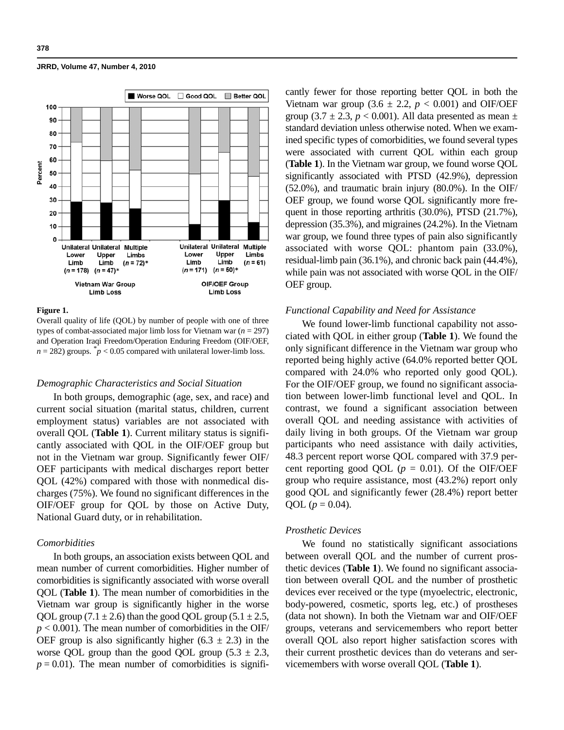

#### **Figure 1.**

Overall quality of life (QOL) by number of people with one of three types of combat-associated major limb loss for Vietnam war (*n* = 297) and Operation Iraqi Freedom/Operation Enduring Freedom (OIF/OEF,  $n = 282$ ) groups.  $\phi$  < 0.05 compared with unilateral lower-limb loss.

### *Demographic Characteristics and Social Situation*

In both groups, demographic (age, sex, and race) and current social situation (marital status, children, current employment status) variables are not associated with overall QOL (**Table 1**). Current military status is significantly associated with QOL in the OIF/OEF group but not in the Vietnam war group. Significantly fewer OIF/ OEF participants with medical discharges report better QOL (42%) compared with those with nonmedical discharges (75%). We found no significant differences in the OIF/OEF group for QOL by those on Active Duty, National Guard duty, or in rehabilitation.

## *Comorbidities*

In both groups, an association exists between QOL and mean number of current comorbidities. Higher number of comorbidities is significantly associated with worse overall QOL (**Table 1**). The mean number of comorbidities in the Vietnam war group is significantly higher in the worse QOL group (7.1  $\pm$  2.6) than the good QOL group (5.1  $\pm$  2.5,  $p < 0.001$ ). The mean number of comorbidities in the OIF/ OEF group is also significantly higher (6.3  $\pm$  2.3) in the worse QOL group than the good QOL group  $(5.3 \pm 2.3,$  $p = 0.01$ ). The mean number of comorbidities is significantly fewer for those reporting better QOL in both the Vietnam war group  $(3.6 \pm 2.2, p < 0.001)$  and OIF/OEF group (3.7  $\pm$  2.3, *p* < 0.001). All data presented as mean  $\pm$ standard deviation unless otherwise noted. When we examined specific types of comorbidities, we found several types were associated with current QOL within each group (**Table 1**). In the Vietnam war group, we found worse QOL significantly associated with PTSD (42.9%), depression (52.0%), and traumatic brain injury (80.0%). In the OIF/ OEF group, we found worse QOL significantly more frequent in those reporting arthritis (30.0%), PTSD (21.7%), depression (35.3%), and migraines (24.2%). In the Vietnam war group, we found three types of pain also significantly associated with worse QOL: phantom pain (33.0%), residual-limb pain (36.1%), and chronic back pain (44.4%), while pain was not associated with worse QOL in the OIF/ OEF group.

#### *Functional Capability and Need for Assistance*

We found lower-limb functional capability not associated with QOL in either group (**Table 1**). We found the only significant difference in the Vietnam war group who reported being highly active (64.0% reported better QOL compared with 24.0% who reported only good QOL). For the OIF/OEF group, we found no significant association between lower-limb functional level and QOL. In contrast, we found a significant association between overall QOL and needing assistance with activities of daily living in both groups. Of the Vietnam war group participants who need assistance with daily activities, 48.3 percent report worse QOL compared with 37.9 percent reporting good QOL ( $p = 0.01$ ). Of the OIF/OEF group who require assistance, most (43.2%) report only good QOL and significantly fewer (28.4%) report better QOL ( $p = 0.04$ ).

#### *Prosthetic Devices*

We found no statistically significant associations between overall QOL and the number of current prosthetic devices (**Table 1**). We found no significant association between overall QOL and the number of prosthetic devices ever received or the type (myoelectric, electronic, body-powered, cosmetic, sports leg, etc.) of prostheses (data not shown). In both the Vietnam war and OIF/OEF groups, veterans and servicemembers who report better overall QOL also report higher satisfaction scores with their current prosthetic devices than do veterans and servicemembers with worse overall QOL (**Table 1**).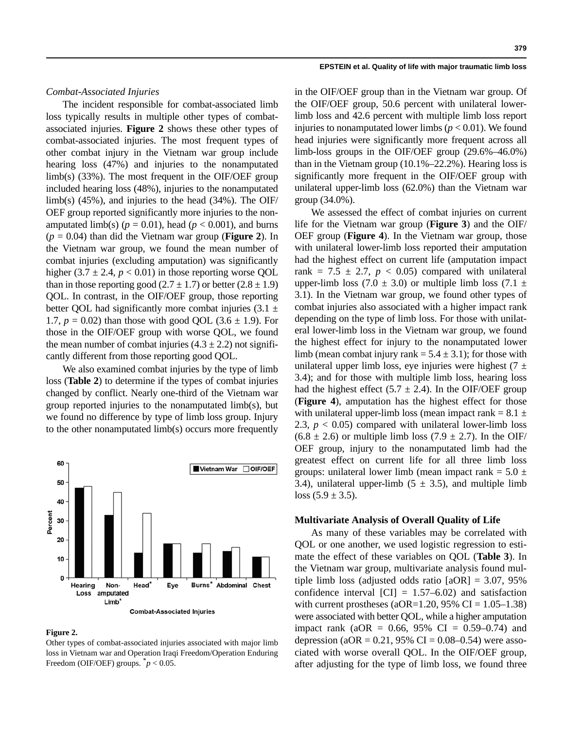## *Combat-Associated Injuries*

The incident responsible for combat-associated limb loss typically results in multiple other types of combatassociated injuries. **Figure 2** shows these other types of combat-associated injuries. The most frequent types of other combat injury in the Vietnam war group include hearing loss (47%) and injuries to the nonamputated limb(s) (33%). The most frequent in the OIF/OEF group included hearing loss (48%), injuries to the nonamputated limb(s)  $(45\%)$ , and injuries to the head  $(34\%)$ . The OIF/ OEF group reported significantly more injuries to the nonamputated limb(s) ( $p = 0.01$ ), head ( $p < 0.001$ ), and burns (*p* = 0.04) than did the Vietnam war group (**Figure 2**). In the Vietnam war group, we found the mean number of combat injuries (excluding amputation) was significantly higher  $(3.7 \pm 2.4, p < 0.01)$  in those reporting worse QOL than in those reporting good  $(2.7 \pm 1.7)$  or better  $(2.8 \pm 1.9)$ QOL. In contrast, in the OIF/OEF group, those reporting better QOL had significantly more combat injuries  $(3.1 \pm$ 1.7,  $p = 0.02$ ) than those with good QOL (3.6  $\pm$  1.9). For those in the OIF/OEF group with worse QOL, we found the mean number of combat injuries  $(4.3 \pm 2.2)$  not significantly different from those reporting good QOL.

We also examined combat injuries by the type of limb loss (**Table 2**) to determine if the types of combat injuries changed by conflict. Nearly one-third of the Vietnam war group reported injuries to the nonamputated limb(s), but we found no difference by type of limb loss group. Injury to the other nonamputated limb(s) occurs more frequently



#### **Figure 2.**

Other types of combat-associated injuries associated with major limb loss in Vietnam war and Operation Iraqi Freedom/Operation Enduring Freedom (OIF/OEF) groups.  $p < 0.05$ .

in the OIF/OEF group than in the Vietnam war group. Of the OIF/OEF group, 50.6 percent with unilateral lowerlimb loss and 42.6 percent with multiple limb loss report injuries to nonamputated lower limbs ( $p < 0.01$ ). We found head injuries were significantly more frequent across all limb-loss groups in the OIF/OEF group (29.6%–46.0%) than in the Vietnam group (10.1%–22.2%). Hearing loss is significantly more frequent in the OIF/OEF group with unilateral upper-limb loss (62.0%) than the Vietnam war group (34.0%).

We assessed the effect of combat injuries on current life for the Vietnam war group (**Figure 3**) and the OIF/ OEF group (**Figure 4**). In the Vietnam war group, those with unilateral lower-limb loss reported their amputation had the highest effect on current life (amputation impact rank =  $7.5 \pm 2.7$ ,  $p < 0.05$ ) compared with unilateral upper-limb loss (7.0  $\pm$  3.0) or multiple limb loss (7.1  $\pm$ 3.1). In the Vietnam war group, we found other types of combat injuries also associated with a higher impact rank depending on the type of limb loss. For those with unilateral lower-limb loss in the Vietnam war group, we found the highest effect for injury to the nonamputated lower limb (mean combat injury rank =  $5.4 \pm 3.1$ ); for those with unilateral upper limb loss, eye injuries were highest  $(7 \pm 1)$ 3.4); and for those with multiple limb loss, hearing loss had the highest effect (5.7  $\pm$  2.4). In the OIF/OEF group (**Figure 4**), amputation has the highest effect for those with unilateral upper-limb loss (mean impact rank  $= 8.1 \pm$ 2.3,  $p < 0.05$ ) compared with unilateral lower-limb loss  $(6.8 \pm 2.6)$  or multiple limb loss  $(7.9 \pm 2.7)$ . In the OIF/ OEF group, injury to the nonamputated limb had the greatest effect on current life for all three limb loss groups: unilateral lower limb (mean impact rank =  $5.0 \pm$ 3.4), unilateral upper-limb  $(5 \pm 3.5)$ , and multiple limb loss  $(5.9 \pm 3.5)$ .

## **Multivariate Analysis of Overall Quality of Life**

As many of these variables may be correlated with QOL or one another, we used logistic regression to estimate the effect of these variables on QOL (**Table 3**). In the Vietnam war group, multivariate analysis found multiple limb loss (adjusted odds ratio  $[aOR] = 3.07, 95\%$ confidence interval  $\text{[CI]} = 1.57{\text{-}}6.02$  and satisfaction with current prostheses (aOR=1.20, 95% CI =  $1.05-1.38$ ) were associated with better QOL, while a higher amputation impact rank (aOR =  $0.66$ , 95% CI =  $0.59-0.74$ ) and depression (aOR = 0.21, 95% CI = 0.08–0.54) were associated with worse overall QOL. In the OIF/OEF group, after adjusting for the type of limb loss, we found three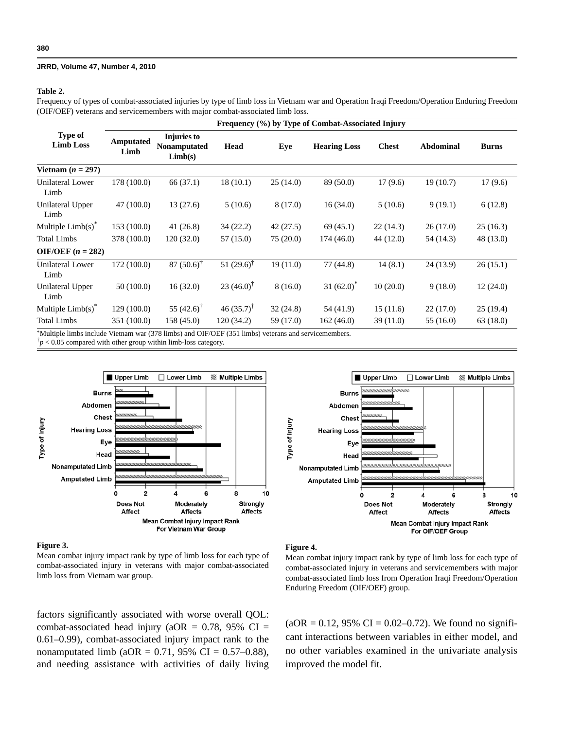#### **Table 2.**

Frequency of types of combat-associated injuries by type of limb loss in Vietnam war and Operation Iraqi Freedom/Operation Enduring Freedom (OIF/OEF) veterans and servicemembers with major combat-associated limb loss.

|                                                                                                               |                   | Frequency (%) by Type of Combat-Associated Injury |                          |           |                     |              |           |              |  |  |
|---------------------------------------------------------------------------------------------------------------|-------------------|---------------------------------------------------|--------------------------|-----------|---------------------|--------------|-----------|--------------|--|--|
| <b>Type of</b><br><b>Limb Loss</b>                                                                            | Amputated<br>Limb | Injuries to<br>Nonamputated<br>Limb(s)            | Head                     | Eye       | <b>Hearing Loss</b> | <b>Chest</b> | Abdominal | <b>Burns</b> |  |  |
| Vietnam $(n = 297)$                                                                                           |                   |                                                   |                          |           |                     |              |           |              |  |  |
| Unilateral Lower<br>Limb                                                                                      | 178 (100.0)       | 66 (37.1)                                         | 18(10.1)                 | 25(14.0)  | 89 (50.0)           | 17(9.6)      | 19(10.7)  | 17(9.6)      |  |  |
| Unilateral Upper<br>Limb                                                                                      | 47 (100.0)        | 13(27.6)                                          | 5(10.6)                  | 8(17.0)   | 16(34.0)            | 5(10.6)      | 9(19.1)   | 6(12.8)      |  |  |
| Multiple $Limb(s)^*$                                                                                          | 153 (100.0)       | 41(26.8)                                          | 34(22.2)                 | 42(27.5)  | 69(45.1)            | 22(14.3)     | 26(17.0)  | 25(16.3)     |  |  |
| <b>Total Limbs</b>                                                                                            | 378 (100.0)       | 120(32.0)                                         | 57 (15.0)                | 75(20.0)  | 174(46.0)           | 44 (12.0)    | 54 (14.3) | 48 (13.0)    |  |  |
| OIF/OEF $(n = 282)$                                                                                           |                   |                                                   |                          |           |                     |              |           |              |  |  |
| Unilateral Lower<br>Limb                                                                                      | 172 (100.0)       | $87(50.6)^{\dagger}$                              | 51 $(29.6)$ <sup>†</sup> | 19(11.0)  | 77 (44.8)           | 14(8.1)      | 24(13.9)  | 26(15.1)     |  |  |
| Unilateral Upper<br>Limb                                                                                      | 50(100.0)         | 16(32.0)                                          | 23 $(46.0)^{\dagger}$    | 8(16.0)   | 31 $(62.0)^*$       | 10(20.0)     | 9(18.0)   | 12(24.0)     |  |  |
| Multiple $Limb(s)^*$                                                                                          | 129(100.0)        | 55 $(42.6)$ <sup>†</sup>                          | 46 $(35.7)^{\dagger}$    | 32(24.8)  | 54 (41.9)           | 15(11.6)     | 22(17.0)  | 25(19.4)     |  |  |
| <b>Total Limbs</b>                                                                                            | 351 (100.0)       | 158(45.0)                                         | 120(34.2)                | 59 (17.0) | 162(46.0)           | 39(11.0)     | 55 (16.0) | 63(18.0)     |  |  |
| $*$ Makinla limbo ingluda Watnam $\mathbf{w}$ a (279 limbo) and OIE/OEE (251 limbo) yatampa and gamigamambara |                   |                                                   |                          |           |                     |              |           |              |  |  |

\*Multiple limbs include Vietnam war (378 limbs) and OIF/OEF (351 limbs) veterans and servicemembers.

 $\bar{p}$  < 0.05 compared with other group within limb-loss category.





#### **Figure 3.**

Mean combat injury impact rank by type of limb loss for each type of combat-associated injury in veterans with major combat-associated limb loss from Vietnam war group.

factors significantly associated with worse overall QOL: combat-associated head injury (aOR =  $0.78$ , 95% CI = 0.61–0.99), combat-associated injury impact rank to the nonamputated limb (aOR =  $0.71$ , 95% CI =  $0.57-0.88$ ), and needing assistance with activities of daily living

#### **Figure 4.**

Mean combat injury impact rank by type of limb loss for each type of combat-associated injury in veterans and servicemembers with major combat-associated limb loss from Operation Iraqi Freedom/Operation Enduring Freedom (OIF/OEF) group.

 $(aOR = 0.12, 95\% \text{ CI} = 0.02 - 0.72)$ . We found no significant interactions between variables in either model, and no other variables examined in the univariate analysis improved the model fit.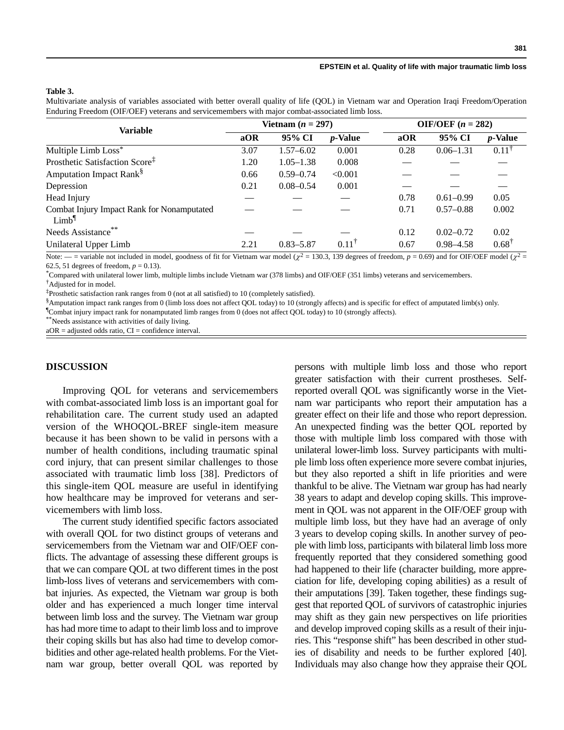#### **Table 3.**

Multivariate analysis of variables associated with better overall quality of life (QOL) in Vietnam war and Operation Iraqi Freedom/Operation Enduring Freedom (OIF/OEF) veterans and servicemembers with major combat-associated limb loss.

| <b>Variable</b>                                                 | Vietnam $(n = 297)$ |               |                  | OIF/OEF $(n = 282)$ |               |                  |
|-----------------------------------------------------------------|---------------------|---------------|------------------|---------------------|---------------|------------------|
|                                                                 | aOR                 | 95% CI        | <i>p</i> -Value  | aOR                 | 95% CI        | <i>p</i> -Value  |
| Multiple Limb Loss*                                             | 3.07                | $1.57 - 6.02$ | 0.001            | 0.28                | $0.06 - 1.31$ | $0.11^{\dagger}$ |
| Prosthetic Satisfaction Score <sup>‡</sup>                      | 1.20                | $1.05 - 1.38$ | 0.008            |                     |               |                  |
| Amputation Impact Rank <sup>§</sup>                             | 0.66                | $0.59 - 0.74$ | < 0.001          |                     |               |                  |
| Depression                                                      | 0.21                | $0.08 - 0.54$ | 0.001            |                     |               |                  |
| Head Injury                                                     |                     |               |                  | 0.78                | $0.61 - 0.99$ | 0.05             |
| Combat Injury Impact Rank for Nonamputated<br>Limb <sup>1</sup> |                     |               |                  | 0.71                | $0.57 - 0.88$ | 0.002            |
| Needs Assistance**                                              |                     |               |                  | 0.12                | $0.02 - 0.72$ | 0.02             |
| Unilateral Upper Limb                                           | 2.21                | $0.83 - 5.87$ | $0.11^{\dagger}$ | 0.67                | $0.98 - 4.58$ | $0.68^{\dagger}$ |

Note:  $-$  = variable not included in model, goodness of fit for Vietnam war model ( $\chi^2$  = 130.3, 139 degrees of freedom, *p* = 0.69) and for OIF/OEF model ( $\chi^2$  = 62.5, 51 degrees of freedom,  $p = 0.13$ ).

\* Compared with unilateral lower limb, multiple limbs include Vietnam war (378 limbs) and OIF/OEF (351 limbs) veterans and servicemembers.

† Adjusted for in model.

‡ Prosthetic satisfaction rank ranges from 0 (not at all satisfied) to 10 (completely satisfied).

§ Amputation impact rank ranges from 0 (limb loss does not affect QOL today) to 10 (strongly affects) and is specific for effect of amputated limb(s) only.

¶ Combat injury impact rank for nonamputated limb ranges from 0 (does not affect QOL today) to 10 (strongly affects).

\*\*Needs assistance with activities of daily living.

aOR = adjusted odds ratio, CI = confidence interval.

## **DISCUSSION**

Improving QOL for veterans and servicemembers with combat-associated limb loss is an important goal for rehabilitation care. The current study used an adapted version of the WHOQOL-BREF single-item measure because it has been shown to be valid in persons with a number of health conditions, including traumatic spinal cord injury, that can present similar challenges to those associated with traumatic limb loss [38]. Predictors of this single-item QOL measure are useful in identifying how healthcare may be improved for veterans and servicemembers with limb loss.

The current study identified specific factors associated with overall QOL for two distinct groups of veterans and servicemembers from the Vietnam war and OIF/OEF conflicts. The advantage of assessing these different groups is that we can compare QOL at two different times in the post limb-loss lives of veterans and servicemembers with combat injuries. As expected, the Vietnam war group is both older and has experienced a much longer time interval between limb loss and the survey. The Vietnam war group has had more time to adapt to their limb loss and to improve their coping skills but has also had time to develop comorbidities and other age-related health problems. For the Vietnam war group, better overall QOL was reported by

persons with multiple limb loss and those who report greater satisfaction with their current prostheses. Selfreported overall QOL was significantly worse in the Vietnam war participants who report their amputation has a greater effect on their life and those who report depression. An unexpected finding was the better QOL reported by those with multiple limb loss compared with those with unilateral lower-limb loss. Survey participants with multiple limb loss often experience more severe combat injuries, but they also reported a shift in life priorities and were thankful to be alive. The Vietnam war group has had nearly 38 years to adapt and develop coping skills. This improvement in QOL was not apparent in the OIF/OEF group with multiple limb loss, but they have had an average of only 3 years to develop coping skills. In another survey of people with limb loss, participants with bilateral limb loss more frequently reported that they considered something good had happened to their life (character building, more appreciation for life, developing coping abilities) as a result of their amputations [39]. Taken together, these findings suggest that reported QOL of survivors of catastrophic injuries may shift as they gain new perspectives on life priorities and develop improved coping skills as a result of their injuries. This "response shift" has been described in other studies of disability and needs to be further explored [40]. Individuals may also change how they appraise their QOL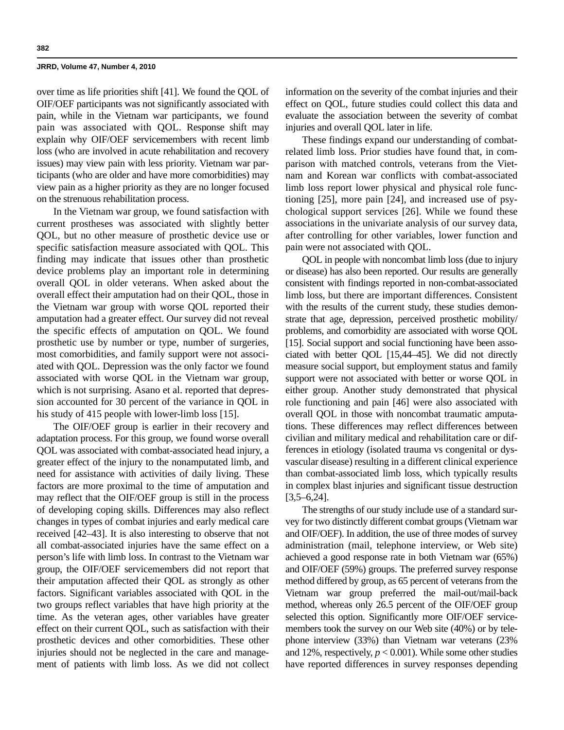over time as life priorities shift [41]. We found the QOL of OIF/OEF participants was not significantly associated with pain, while in the Vietnam war participants, we found pain was associated with QOL. Response shift may explain why OIF/OEF servicemembers with recent limb loss (who are involved in acute rehabilitation and recovery issues) may view pain with less priority. Vietnam war participants (who are older and have more comorbidities) may view pain as a higher priority as they are no longer focused on the strenuous rehabilitation process.

In the Vietnam war group, we found satisfaction with current prostheses was associated with slightly better QOL, but no other measure of prosthetic device use or specific satisfaction measure associated with QOL. This finding may indicate that issues other than prosthetic device problems play an important role in determining overall QOL in older veterans. When asked about the overall effect their amputation had on their QOL, those in the Vietnam war group with worse QOL reported their amputation had a greater effect. Our survey did not reveal the specific effects of amputation on QOL. We found prosthetic use by number or type, number of surgeries, most comorbidities, and family support were not associated with QOL. Depression was the only factor we found associated with worse QOL in the Vietnam war group, which is not surprising. Asano et al. reported that depression accounted for 30 percent of the variance in QOL in his study of 415 people with lower-limb loss [15].

The OIF/OEF group is earlier in their recovery and adaptation process. For this group, we found worse overall QOL was associated with combat-associated head injury, a greater effect of the injury to the nonamputated limb, and need for assistance with activities of daily living. These factors are more proximal to the time of amputation and may reflect that the OIF/OEF group is still in the process of developing coping skills. Differences may also reflect changes in types of combat injuries and early medical care received [42–43]. It is also interesting to observe that not all combat-associated injuries have the same effect on a person's life with limb loss. In contrast to the Vietnam war group, the OIF/OEF servicemembers did not report that their amputation affected their QOL as strongly as other factors. Significant variables associated with QOL in the two groups reflect variables that have high priority at the time. As the veteran ages, other variables have greater effect on their current QOL, such as satisfaction with their prosthetic devices and other comorbidities. These other injuries should not be neglected in the care and management of patients with limb loss. As we did not collect information on the severity of the combat injuries and their effect on QOL, future studies could collect this data and evaluate the association between the severity of combat injuries and overall QOL later in life.

These findings expand our understanding of combatrelated limb loss. Prior studies have found that, in comparison with matched controls, veterans from the Vietnam and Korean war conflicts with combat-associated limb loss report lower physical and physical role functioning [25], more pain [24], and increased use of psychological support services [26]. While we found these associations in the univariate analysis of our survey data, after controlling for other variables, lower function and pain were not associated with QOL.

QOL in people with noncombat limb loss (due to injury or disease) has also been reported. Our results are generally consistent with findings reported in non-combat-associated limb loss, but there are important differences. Consistent with the results of the current study, these studies demonstrate that age, depression, perceived prosthetic mobility/ problems, and comorbidity are associated with worse QOL [15]. Social support and social functioning have been associated with better QOL [15,44–45]. We did not directly measure social support, but employment status and family support were not associated with better or worse QOL in either group. Another study demonstrated that physical role functioning and pain [46] were also associated with overall QOL in those with noncombat traumatic amputations. These differences may reflect differences between civilian and military medical and rehabilitation care or differences in etiology (isolated trauma vs congenital or dysvascular disease) resulting in a different clinical experience than combat-associated limb loss, which typically results in complex blast injuries and significant tissue destruction  $[3,5–6,24]$ .

The strengths of our study include use of a standard survey for two distinctly different combat groups (Vietnam war and OIF/OEF). In addition, the use of three modes of survey administration (mail, telephone interview, or Web site) achieved a good response rate in both Vietnam war (65%) and OIF/OEF (59%) groups. The preferred survey response method differed by group, as 65 percent of veterans from the Vietnam war group preferred the mail-out/mail-back method, whereas only 26.5 percent of the OIF/OEF group selected this option. Significantly more OIF/OEF servicemembers took the survey on our Web site (40%) or by telephone interview (33%) than Vietnam war veterans (23% and 12%, respectively,  $p < 0.001$ ). While some other studies have reported differences in survey responses depending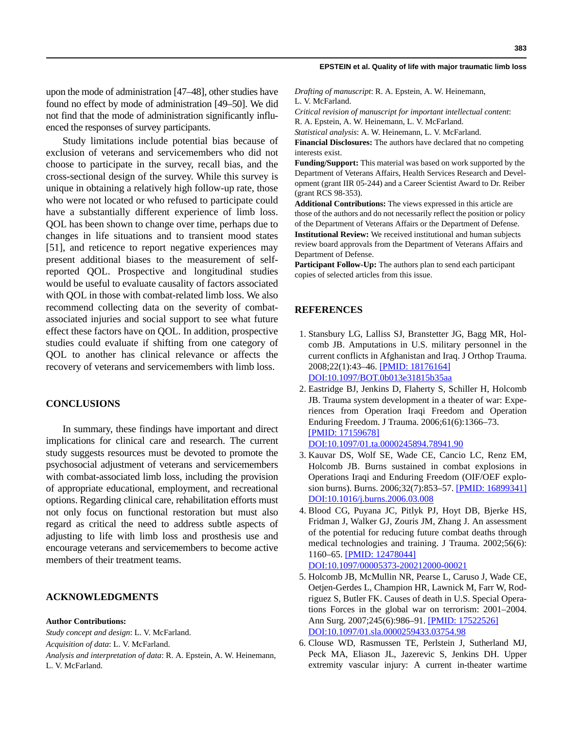upon the mode of administration [47–48], other studies have found no effect by mode of administration [49–50]. We did not find that the mode of administration significantly influenced the responses of survey participants.

Study limitations include potential bias because of exclusion of veterans and servicemembers who did not choose to participate in the survey, recall bias, and the cross-sectional design of the survey. While this survey is unique in obtaining a relatively high follow-up rate, those who were not located or who refused to participate could have a substantially different experience of limb loss. QOL has been shown to change over time, perhaps due to changes in life situations and to transient mood states [51], and reticence to report negative experiences may present additional biases to the measurement of selfreported QOL. Prospective and longitudinal studies would be useful to evaluate causality of factors associated with QOL in those with combat-related limb loss. We also recommend collecting data on the severity of combatassociated injuries and social support to see what future effect these factors have on QOL. In addition, prospective studies could evaluate if shifting from one category of QOL to another has clinical relevance or affects the recovery of veterans and servicemembers with limb loss.

## **CONCLUSIONS**

In summary, these findings have important and direct implications for clinical care and research. The current study suggests resources must be devoted to promote the psychosocial adjustment of veterans and servicemembers with combat-associated limb loss, including the provision of appropriate educational, employment, and recreational options. Regarding clinical care, rehabilitation efforts must not only focus on functional restoration but must also regard as critical the need to address subtle aspects of adjusting to life with limb loss and prosthesis use and encourage veterans and servicemembers to become active members of their treatment teams.

## **ACKNOWLEDGMENTS**

#### **Author Contributions:**

*Study concept and design*: L. V. McFarland. *Acquisition of data*: L. V. McFarland.

*Analysis and interpretation of data*: R. A. Epstein, A. W. Heinemann, L. V. McFarland.

*Drafting of manuscript*: R. A. Epstein, A. W. Heinemann, L. V. McFarland.

*Critical revision of manuscript for important intellectual content*: R. A. Epstein, A. W. Heinemann, L. V. McFarland.

*Statistical analysis*: A. W. Heinemann, L. V. McFarland.

**Financial Disclosures:** The authors have declared that no competing interests exist.

**Funding/Support:** This material was based on work supported by the Department of Veterans Affairs, Health Services Research and Development (grant IIR 05-244) and a Career Scientist Award to Dr. Reiber (grant RCS 98-353).

**Additional Contributions:** The views expressed in this article are those of the authors and do not necessarily reflect the position or policy of the Department of Veterans Affairs or the Department of Defense. **Institutional Review:** We received institutional and human subjects review board approvals from the Department of Veterans Affairs and Department of Defense.

**Participant Follow-Up:** The authors plan to send each participant copies of selected articles from this issue.

## **REFERENCES**

- 1. Stansbury LG, Lalliss SJ, Branstetter JG, Bagg MR, Holcomb JB. Amputations in U.S. military personnel in the current conflicts in Afghanistan and Iraq. J Orthop Trauma. 2008;22(1):43–46. [\[PMID: 18176164\]](http://www.ncbi.nlm.nih.gov/pubmed/18176164) [D](http://www.ncbi.nlm.nih.gov/pubmed/18176164)[OI:10.1097/BOT.0b013e31815b35aa](http://dx.doi.org/10.1097/BOT.0b013e31815b35aa)
- 2. Eastridge BJ, Jenkins D, Flaherty S, Schiller H, Holcomb JB. Trauma system development in a theater of war: Experiences from Operation Iraqi Freedom and Operation Enduring Freedom. J Trauma. 2006;61(6):1366–73. [\[PMID: 17159678\]](http://www.ncbi.nlm.nih.gov/pubmed/17159678)

[D](http://www.ncbi.nlm.nih.gov/pubmed/17159678)[OI:10.1097/01.ta.0000245894.78941.90](http://dx.doi.org/10.1097/01.ta.0000245894.78941.90)

- 3. Kauvar DS, Wolf SE, Wade CE, Cancio LC, Renz EM, Holcomb JB. Burns sustained in combat explosions in Operations Iraqi and Enduring Freedom (OIF/OEF explosion burns). Burns. 2006;32(7):853–57. [\[PMID: 16899341\]](http://www.ncbi.nlm.nih.gov/pubmed/16899341) [D](http://www.ncbi.nlm.nih.gov/pubmed/16899341)[OI:10.1016/j.burns.2006.03.008](http://dx.doi.org/10.1016/j.burns.2006.03.008)
- 4. Blood CG, Puyana JC, Pitlyk PJ, Hoyt DB, Bjerke HS, Fridman J, Walker GJ, Zouris JM, Zhang J. An assessment of the potential for reducing future combat deaths through medical technologies and training. J Trauma. 2002;56(6): 1160–65. [\[PMID: 12478044\]](http://www.ncbi.nlm.nih.gov/pubmed/12478044) [D](http://www.ncbi.nlm.nih.gov/pubmed/12478044)[OI:10.1097/00005373-200212000-00021](http://dx.doi.org/10.1097/00005373-200212000-00021)
- 5. Holcomb JB, McMullin NR, Pearse L, Caruso J, Wade CE, Oetjen-Gerdes L, Champion HR, Lawnick M, Farr W, Rodriguez S, Butler FK. Causes of death in U.S. Special Operations Forces in the global war on terrorism: 2001–2004. Ann Surg. 2007;245(6):986–91. [\[PMID: 17522526\]](http://www.ncbi.nlm.nih.gov/pubmed/17522526) [D](http://www.ncbi.nlm.nih.gov/pubmed/17522526)[OI:10.1097/01.sla.0000259433.03754.98](http://dx.doi.org/10.1097/01.sla.0000259433.03754.98)
- 6. Clouse WD, Rasmussen TE, Perlstein J, Sutherland MJ, Peck MA, Eliason JL, Jazerevic S, Jenkins DH. Upper extremity vascular injury: A current in-theater wartime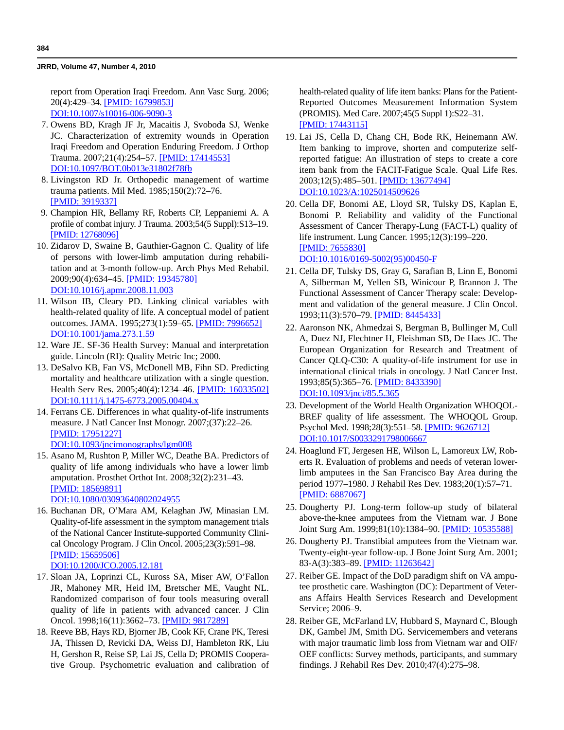report from Operation Iraqi Freedom. Ann Vasc Surg. 2006; 20(4):429–34. [\[PMID: 16799853\]](http://www.ncbi.nlm.nih.gov/pubmed/16799853) [D](http://www.ncbi.nlm.nih.gov/pubmed/16799853)[OI:10.1007/s10016-006-9090-3](http://dx.doi.org/10.1007/s10016-006-9090-3)

- 7. Owens BD, Kragh JF Jr, Macaitis J, Svoboda SJ, Wenke JC. Characterization of extremity wounds in Operation Iraqi Freedom and Operation Enduring Freedom. J Orthop Trauma. 2007;21(4):254–57. [\[PMID: 17414553\]](http://www.ncbi.nlm.nih.gov/pubmed/17414553) [D](http://www.ncbi.nlm.nih.gov/pubmed/17414553)[OI:10.1097/BOT.0b013e31802f78fb](http://dx.doi.org/10.1097/BOT.0b013e31802f78fb)
- 8. Livingston RD Jr. Orthopedic management of wartime trauma patients. Mil Med. 1985;150(2):72–76. [\[PMID: 3919337\]](http://www.ncbi.nlm.nih.gov/pubmed/3919337)
- 9. Champion HR, Bellamy RF, Roberts CP, Leppaniemi A. A profile of combat injury. J Trauma. 2003;54(5 Suppl):S13–19. [\[PMID: 12768096\]](http://www.ncbi.nlm.nih.gov/pubmed/12768096)
- 10. Zidarov D, Swaine B, Gauthier-Gagnon C. Quality of life of persons with lower-limb amputation during rehabilitation and at 3-month follow-up. Arch Phys Med Rehabil. 2009;90(4):634–45. [\[PMID: 19345780\]](http://www.ncbi.nlm.nih.gov/pubmed/19345780) [D](http://www.ncbi.nlm.nih.gov/pubmed/19345780)[OI:10.1016/j.apmr.2008.11.003](http://dx.doi.org/10.1016/j.apmr.2008.11.003)
- 11. Wilson IB, Cleary PD. Linking clinical variables with health-related quality of life. A conceptual model of patient outcomes. JAMA. 1995;273(1):59–65. [\[PMID: 7996652\]](http://www.ncbi.nlm.nih.gov/pubmed/7996652) [D](http://www.ncbi.nlm.nih.gov/pubmed/7996652)[OI:10.1001/jama.273.1.59](http://dx.doi.org/10.1001/jama.273.1.59)
- 12. Ware JE. SF-36 Health Survey: Manual and interpretation guide. Lincoln (RI): Quality Metric Inc; 2000.
- 13. DeSalvo KB, Fan VS, McDonell MB, Fihn SD. Predicting mortality and healthcare utilization with a single question. Health Serv Res. 2005;40(4):1234–46. [\[PMID: 16033502\]](http://www.ncbi.nlm.nih.gov/pubmed/16033502) [DOI:10.1111/j.1475-6773.2005.00404.x](http://dx.doi.org/10.1111/j.1475-6773.2005.00404.x)
- 14. Ferrans CE. Differences in what quality-of-life instruments measure. J Natl Cancer Inst Monogr. 2007;(37):22–26. [\[PMID: 17951227\]](http://www.ncbi.nlm.nih.gov/pubmed/17951227) [D](http://www.ncbi.nlm.nih.gov/pubmed/17951227)[OI:10.1093/jncimonographs/lgm008](http://dx.doi.org/10.1093/jncimonographs/lgm008)
- 15. Asano M, Rushton P, Miller WC, Deathe BA. Predictors of quality of life among individuals who have a lower limb amputation. Prosthet Orthot Int. 2008;32(2):231–43. [\[PMID: 18569891\]](http://www.ncbi.nlm.nih.gov/pubmed/18569891) [D](http://www.ncbi.nlm.nih.gov/pubmed/18569891)[OI:10.1080/03093640802024955](http://dx.doi.org/10.1080/03093640802024955)
- 16. Buchanan DR, O'Mara AM, Kelaghan JW, Minasian LM. Quality-of-life assessment in the symptom management trials of the National Cancer Institute-supported Community Clinical Oncology Program. J Clin Oncol. 2005;23(3):591–98. [\[PMID: 15659506\]](http://www.ncbi.nlm.nih.gov/pubmed/15659506) [D](http://www.ncbi.nlm.nih.gov/pubmed/15659506)[OI:10.1200/JCO.2005.12.181](http://dx.doi.org/10.1200/JCO.2005.12.181)
- 17. Sloan JA, Loprinzi CL, Kuross SA, Miser AW, O'Fallon JR, Mahoney MR, Heid IM, Bretscher ME, Vaught NL. Randomized comparison of four tools measuring overall quality of life in patients with advanced cancer. J Clin Oncol. 1998;16(11):3662–73. [\[PMID: 9817289\]](http://www.ncbi.nlm.nih.gov/pubmed/9817289)
- 18. Reeve BB, Hays RD, Bjorner JB, Cook KF, Crane PK, Teresi JA, Thissen D, Revicki DA, Weiss DJ, Hambleton RK, Liu H, Gershon R, Reise SP, Lai JS, Cella D; PROMIS Cooperative Group. Psychometric evaluation and calibration of

health-related quality of life item banks: Plans for the Patient-Reported Outcomes Measurement Information System (PROMIS). Med Care. 2007;45(5 Suppl 1):S22–31. [\[PMID: 17443115\]](http://www.ncbi.nlm.nih.gov/pubmed/17443115)

- 19. Lai JS, Cella D, Chang CH, Bode RK, Heinemann AW. Item banking to improve, shorten and computerize selfreported fatigue: An illustration of steps to create a core item bank from the FACIT-Fatigue Scale. Qual Life Res. 2003;12(5):485–501. [\[PMID: 13677494\]](http://www.ncbi.nlm.nih.gov/pubmed/13677494) [D](http://www.ncbi.nlm.nih.gov/pubmed/13677494)[OI:10.1023/A:1025014509626](http://dx.doi.org/10.1023/A:1025014509626)
- 20. Cella DF, Bonomi AE, Lloyd SR, Tulsky DS, Kaplan E, Bonomi P. Reliability and validity of the Functional Assessment of Cancer Therapy-Lung (FACT-L) quality of life instrument. Lung Cancer. 1995;12(3):199–220. [\[PMID: 7655830\]](http://www.ncbi.nlm.nih.gov/pubmed/7655830) [D](http://www.ncbi.nlm.nih.gov/pubmed/7655830)[OI:10.1016/0169-5002\(95\)00450-F](http://dx.doi.org/10.1016/0169-5002%2895%2900450-F)
- 21. Cella DF, Tulsky DS, Gray G, Sarafian B, Linn E, Bonomi A, Silberman M, Yellen SB, Winicour P, Brannon J. The Functional Assessment of Cancer Therapy scale: Development and validation of the general measure. J Clin Oncol. 1993;11(3):570–79. [\[PMID: 8445433\]](http://www.ncbi.nlm.nih.gov/pubmed/8445433)
- 22. Aaronson NK, Ahmedzai S, Bergman B, Bullinger M, Cull A, Duez NJ, Flechtner H, Fleishman SB, De Haes JC. The European Organization for Research and Treatment of Cancer QLQ-C30: A quality-of-life instrument for use in international clinical trials in oncology. J Natl Cancer Inst. 1993;85(5):365–76. [\[PMID: 8433390\]](http://www.ncbi.nlm.nih.gov/pubmed/8433390) [D](http://www.ncbi.nlm.nih.gov/pubmed/8433390)[OI:10.1093/jnci/85.5.365](http://dx.doi.org/10.1093/jnci/85.5.365)
- 23. Development of the World Health Organization WHOQOL-BREF quality of life assessment. The WHOQOL Group. Psychol Med. 1998;28(3):551–58. [\[PMID: 9626712\]](http://www.ncbi.nlm.nih.gov/pubmed/9626712) [D](http://www.ncbi.nlm.nih.gov/pubmed/9626712)[OI:10.1017/S0033291798006667](http://dx.doi.org/10.1017/S0033291798006667)
- 24. Hoaglund FT, Jergesen HE, Wilson L, Lamoreux LW, Roberts R. Evaluation of problems and needs of veteran lowerlimb amputees in the San Francisco Bay Area during the period 1977–1980. J Rehabil Res Dev. 1983;20(1):57–71. [\[PMID: 6887067\]](http://www.ncbi.nlm.nih.gov/pubmed/6887067)
- 25. Dougherty PJ. Long-term follow-up study of bilateral above-the-knee amputees from the Vietnam war. J Bone Joint Surg Am. 1999;81(10):1384–90. [\[PMID: 10535588\]](http://www.ncbi.nlm.nih.gov/pubmed/10535588)
- 26. Dougherty PJ. Transtibial amputees from the Vietnam war. Twenty-eight-year follow-up. J Bone Joint Surg Am. 2001; 83-A(3):383–89. [\[PMID: 11263642\]](http://www.ncbi.nlm.nih.gov/pubmed/11263642)
- 27. Reiber GE. Impact of the DoD paradigm shift on VA amputee prosthetic care. Washington (DC): Department of Veterans Affairs Health Services Research and Development Service; 2006–9.
- 28. Reiber GE, McFarland LV, Hubbard S, Maynard C, Blough DK, Gambel JM, Smith DG. Servicemembers and veterans with major traumatic limb loss from Vietnam war and OIF/ OEF conflicts: Survey methods, participants, and summary findings. J Rehabil Res Dev. 2010;47(4):275–98.